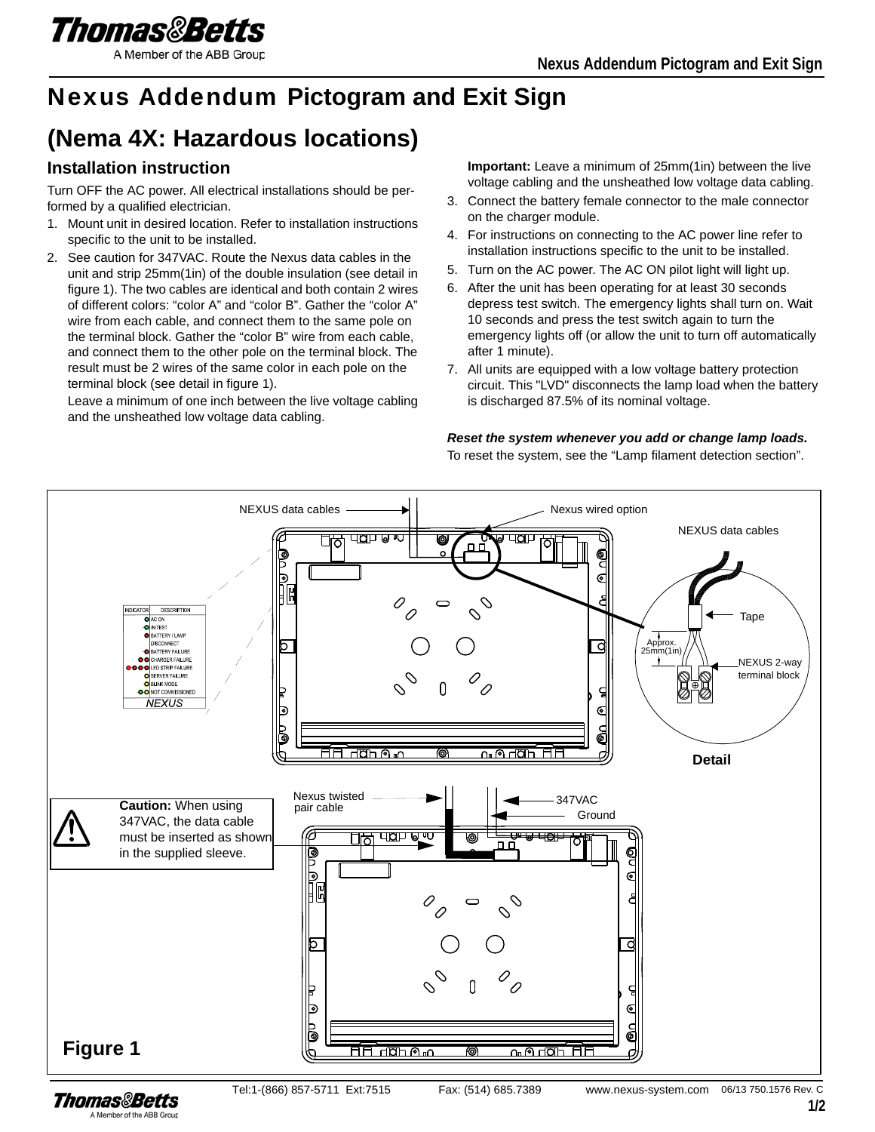

#### A Member of the ABB Group

# Nexus Addendum **Pictogram and Exit Sign**

# **(Nema 4X: Hazardous locations)**

## **Installation instruction**

Turn OFF the AC power. All electrical installations should be performed by a qualified electrician.

- 1. Mount unit in desired location. Refer to installation instructions specific to the unit to be installed.
- 2. See caution for 347VAC. Route the Nexus data cables in the unit and strip 25mm(1in) of the double insulation (see detail in figure 1). The two cables are identical and both contain 2 wires of different colors: "color A" and "color B". Gather the "color A" wire from each cable, and connect them to the same pole on the terminal block. Gather the "color B" wire from each cable, and connect them to the other pole on the terminal block. The result must be 2 wires of the same color in each pole on the terminal block (see detail in figure 1).

Leave a minimum of one inch between the live voltage cabling and the unsheathed low voltage data cabling.

**Important:** Leave a minimum of 25mm(1in) between the live voltage cabling and the unsheathed low voltage data cabling.

- 3. Connect the battery female connector to the male connector on the charger module.
- 4. For instructions on connecting to the AC power line refer to installation instructions specific to the unit to be installed.
- 5. Turn on the AC power. The AC ON pilot light will light up.
- 6. After the unit has been operating for at least 30 seconds depress test switch. The emergency lights shall turn on. Wait 10 seconds and press the test switch again to turn the emergency lights off (or allow the unit to turn off automatically after 1 minute).
- 7. All units are equipped with a low voltage battery protection circuit. This "LVD" disconnects the lamp load when the battery is discharged 87.5% of its nominal voltage.

#### *Reset the system whenever you add or change lamp loads.*

To reset the system, see the "Lamp filament detection section".



A Member of the ABB Group